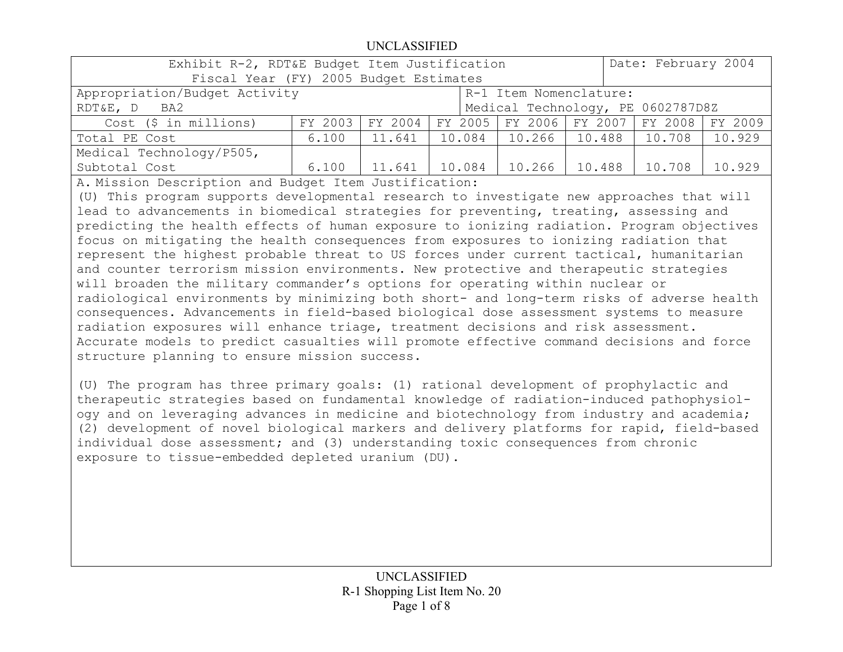| FY 2003 |                               |                   |                                                  |                                                        |                  | FY 2009                                                                                                                                                    |
|---------|-------------------------------|-------------------|--------------------------------------------------|--------------------------------------------------------|------------------|------------------------------------------------------------------------------------------------------------------------------------------------------------|
| 6.100   |                               |                   |                                                  |                                                        |                  | 10.929                                                                                                                                                     |
|         |                               |                   |                                                  |                                                        |                  |                                                                                                                                                            |
| 6.100   | 11.641                        |                   |                                                  |                                                        | 10.708           | 10.929                                                                                                                                                     |
|         | Appropriation/Budget Activity | FY 2004<br>11.641 | Fiscal Year (FY) 2005 Budget Estimates<br>10.084 | Exhibit R-2, RDT&E Budget Item Justification<br>10.084 | 10.266<br>10.266 | Date: February 2004<br>R-1 Item Nomenclature:<br>Medical Technology, PE 0602787D8Z<br>FY 2005   FY 2006   FY 2007   FY 2008  <br>$10.488$ 10.708<br>10.488 |

A. Mission Description and Budget Item Justification:

(U) This program supports developmental research to investigate new approaches that will lead to advancements in biomedical strategies for preventing, treating, assessing and predicting the health effects of human exposure to ionizing radiation. Program objectives focus on mitigating the health consequences from exposures to ionizing radiation that represent the highest probable threat to US forces under current tactical, humanitarian and counter terrorism mission environments. New protective and therapeutic strategies will broaden the military commander's options for operating within nuclear or radiological environments by minimizing both short- and long-term risks of adverse health consequences. Advancements in field-based biological dose assessment systems to measure radiation exposures will enhance triage, treatment decisions and risk assessment. Accurate models to predict casualties will promote effective command decisions and force structure planning to ensure mission success.

(U) The program has three primary goals: (1) rational development of prophylactic and therapeutic strategies based on fundamental knowledge of radiation-induced pathophysiology and on leveraging advances in medicine and biotechnology from industry and academia; (2) development of novel biological markers and delivery platforms for rapid, field-based individual dose assessment; and (3) understanding toxic consequences from chronic exposure to tissue-embedded depleted uranium (DU).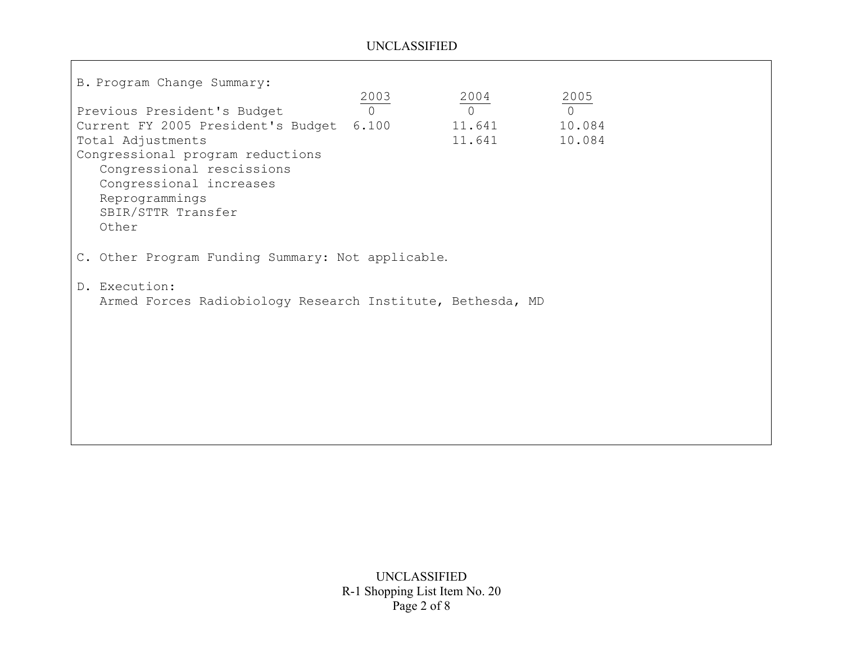ा

| B. Program Change Summary:                                 |                |                |            |
|------------------------------------------------------------|----------------|----------------|------------|
|                                                            | $rac{2003}{0}$ |                | 2005       |
| Previous President's Budget                                |                | $rac{2004}{0}$ | $\sqrt{ }$ |
| Current FY 2005 President's Budget 6.100                   |                | 11.641         | 10.084     |
| Total Adjustments                                          |                | 11.641         | 10.084     |
| Congressional program reductions                           |                |                |            |
| Congressional rescissions                                  |                |                |            |
| Congressional increases                                    |                |                |            |
| Reprogrammings                                             |                |                |            |
| SBIR/STTR Transfer                                         |                |                |            |
| Other                                                      |                |                |            |
|                                                            |                |                |            |
| C. Other Program Funding Summary: Not applicable.          |                |                |            |
| D. Execution:                                              |                |                |            |
| Armed Forces Radiobiology Research Institute, Bethesda, MD |                |                |            |
|                                                            |                |                |            |
|                                                            |                |                |            |
|                                                            |                |                |            |
|                                                            |                |                |            |
|                                                            |                |                |            |
|                                                            |                |                |            |
|                                                            |                |                |            |
|                                                            |                |                |            |
|                                                            |                |                |            |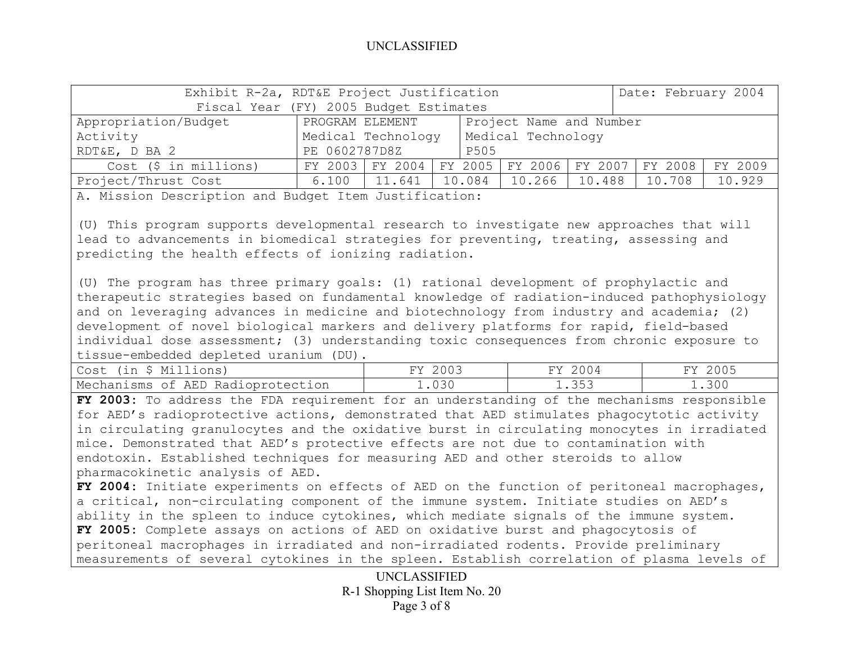|                       | Exhibit R-2a, RDT&E Project Justification |                    |  |        | Date: February 2004                             |        |        |         |
|-----------------------|-------------------------------------------|--------------------|--|--------|-------------------------------------------------|--------|--------|---------|
|                       | Fiscal Year (FY) 2005 Budget Estimates    |                    |  |        |                                                 |        |        |         |
| Appropriation/Budget  | PROGRAM ELEMENT                           |                    |  |        | Project Name and Number                         |        |        |         |
| Activity              |                                           | Medical Technology |  |        | Medical Technology                              |        |        |         |
| RDT&E, D BA 2         | PE 0602787D8Z                             |                    |  | P505   |                                                 |        |        |         |
| Cost (\$ in millions) |                                           |                    |  |        | FY 2003 FY 2004 FY 2005 FY 2006 FY 2007 FY 2008 |        |        | FY 2009 |
| Project/Thrust Cost   | 6.100                                     | 11.641             |  | 10.084 | $10.266$ $\blacksquare$                         | 10.488 | 10.708 | 10.929  |

A. Mission Description and Budget Item Justification:

(U) This program supports developmental research to investigate new approaches that will lead to advancements in biomedical strategies for preventing, treating, assessing and predicting the health effects of ionizing radiation.

(U) The program has three primary goals: (1) rational development of prophylactic and therapeutic strategies based on fundamental knowledge of radiation-induced pathophysiology and on leveraging advances in medicine and biotechnology from industry and academia; (2) development of novel biological markers and delivery platforms for rapid, field-based individual dose assessment; (3) understanding toxic consequences from chronic exposure to tissue-embedded depleted uranium (DU).

| \$ Millions)<br>Cost (in          | 2003<br>FY. | 2004  | 2005 |
|-----------------------------------|-------------|-------|------|
| Mechanisms of AED Radioprotection | .030        | 1.353 | .300 |

**FY 2003:** To address the FDA requirement for an understanding of the mechanisms responsible for AED's radioprotective actions, demonstrated that AED stimulates phagocytotic activity in circulating granulocytes and the oxidative burst in circulating monocytes in irradiated mice. Demonstrated that AED's protective effects are not due to contamination with endotoxin. Established techniques for measuring AED and other steroids to allow pharmacokinetic analysis of AED.

**FY 2004:** Initiate experiments on effects of AED on the function of peritoneal macrophages, a critical, non-circulating component of the immune system. Initiate studies on AED's ability in the spleen to induce cytokines, which mediate signals of the immune system. **FY 2005:** Complete assays on actions of AED on oxidative burst and phagocytosis of peritoneal macrophages in irradiated and non-irradiated rodents. Provide preliminary measurements of several cytokines in the spleen. Establish correlation of plasma levels of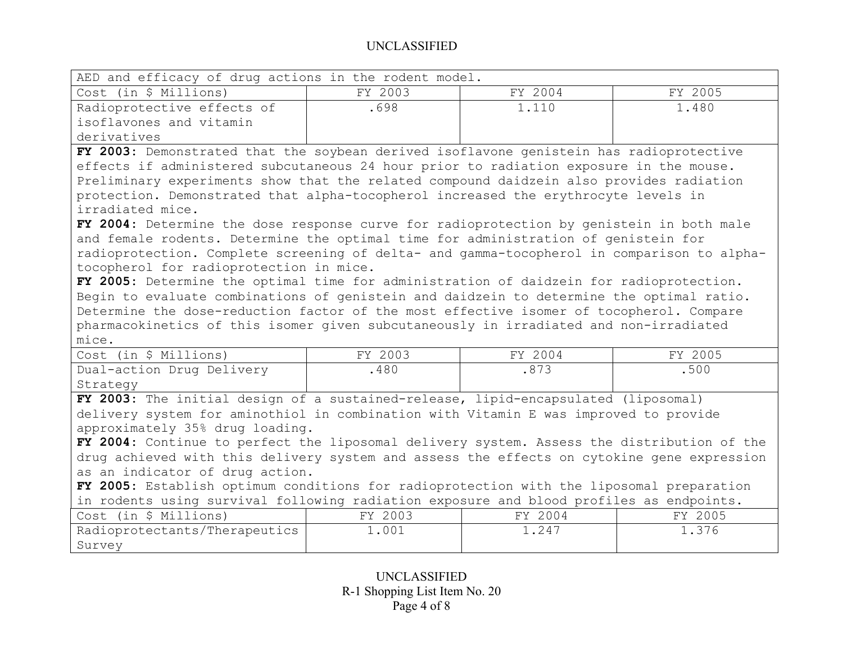| AED and efficacy of drug actions in the rodent model. |         |         |         |  |  |
|-------------------------------------------------------|---------|---------|---------|--|--|
| Cost (in \$ Millions)                                 | FY 2003 | FY 2004 | FY 2005 |  |  |
| Radioprotective effects of                            | .698    | 1.110   | 1.480   |  |  |
| isoflavones and vitamin                               |         |         |         |  |  |
| derivatives                                           |         |         |         |  |  |

**FY 2003:** Demonstrated that the soybean derived isoflavone genistein has radioprotective effects if administered subcutaneous 24 hour prior to radiation exposure in the mouse. Preliminary experiments show that the related compound daidzein also provides radiation protection. Demonstrated that alpha-tocopherol increased the erythrocyte levels in irradiated mice.

**FY 2004:** Determine the dose response curve for radioprotection by genistein in both male and female rodents. Determine the optimal time for administration of genistein for radioprotection. Complete screening of delta- and gamma-tocopherol in comparison to alphatocopherol for radioprotection in mice.

**FY 2005:** Determine the optimal time for administration of daidzein for radioprotection. Begin to evaluate combinations of genistein and daidzein to determine the optimal ratio. Determine the dose-reduction factor of the most effective isomer of tocopherol. Compare pharmacokinetics of this isomer given subcutaneously in irradiated and non-irradiated mice.

| Cost (in \$ Millions)                                                              | FY 2003 | FY 2004 | FY 2005 |
|------------------------------------------------------------------------------------|---------|---------|---------|
| Dual-action Drug Delivery                                                          | 480     | .873    | .500    |
| Strategy                                                                           |         |         |         |
| FY 2003: The initial design of a sustained-release, lipid-encapsulated (liposomal) |         |         |         |

delivery system for aminothiol in combination with Vitamin E was improved to provide approximately 35% drug loading.

**FY 2004:** Continue to perfect the liposomal delivery system. Assess the distribution of the drug achieved with this delivery system and assess the effects on cytokine gene expression as an indicator of drug action.

**FY 2005:** Establish optimum conditions for radioprotection with the liposomal preparation in rodents using survival following radiation exposure and blood profiles as endpoints.

| (in \$ Millions)<br>Cost      | 2003<br>ワマオ | 2004<br>гv | 2005<br>ᅲᅐᅎ |
|-------------------------------|-------------|------------|-------------|
| Radioprotectants/Therapeutics | 1.001       | 247        | 1.376       |
| Survey                        |             |            |             |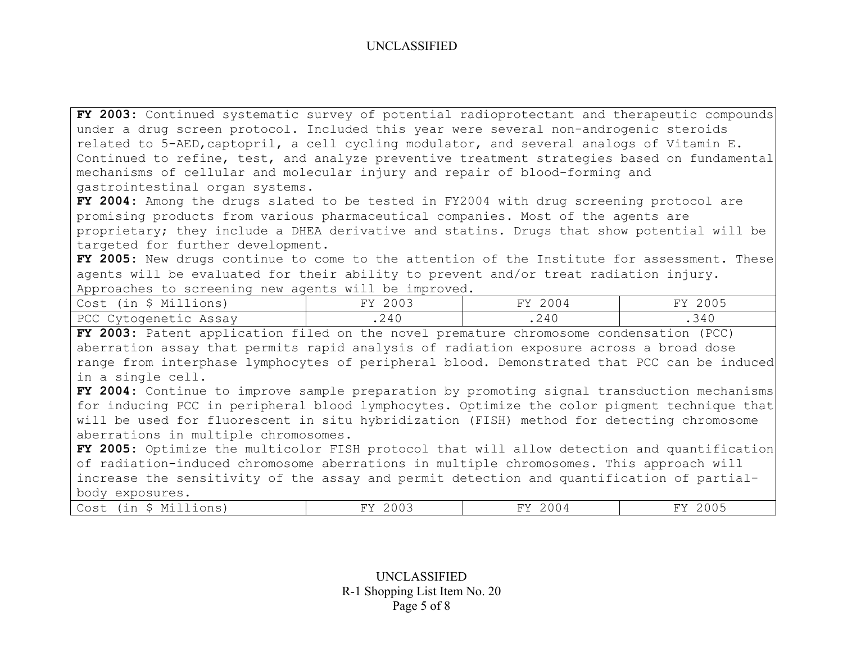**FY 2003:** Continued systematic survey of potential radioprotectant and therapeutic compounds under a drug screen protocol. Included this year were several non-androgenic steroids related to 5-AED,captopril, a cell cycling modulator, and several analogs of Vitamin E. Continued to refine, test, and analyze preventive treatment strategies based on fundamental mechanisms of cellular and molecular injury and repair of blood-forming and gastrointestinal organ systems.

**FY 2004:** Among the drugs slated to be tested in FY2004 with drug screening protocol are promising products from various pharmaceutical companies. Most of the agents are proprietary; they include a DHEA derivative and statins. Drugs that show potential will be targeted for further development.

**FY 2005:** New drugs continue to come to the attention of the Institute for assessment. These agents will be evaluated for their ability to prevent and/or treat radiation injury. Approaches to screening new agents will be improved.

| Cost (in \$ Millions) | 2003 | 2004  | 2005 |
|-----------------------|------|-------|------|
|                       | UV.  | FΥ    | FY.  |
| PCC Cytogenetic Assay | .240 | . 240 | .340 |

**FY 2003:** Patent application filed on the novel premature chromosome condensation (PCC) aberration assay that permits rapid analysis of radiation exposure across a broad dose range from interphase lymphocytes of peripheral blood. Demonstrated that PCC can be induced in a single cell.

**FY 2004:** Continue to improve sample preparation by promoting signal transduction mechanisms for inducing PCC in peripheral blood lymphocytes. Optimize the color pigment technique that will be used for fluorescent in situ hybridization (FISH) method for detecting chromosome aberrations in multiple chromosomes.

**FY 2005:** Optimize the multicolor FISH protocol that will allow detection and quantification of radiation-induced chromosome aberrations in multiple chromosomes. This approach will increase the sensitivity of the assay and permit detection and quantification of partialbody exposures.

| ົ∩∩⊿<br>"∩ ⊂ †<br>M.<br>くいいこ<br>כוור<br>U U I<br>ムぃぃ)<br>. .<br>こしいし<br>- |
|---------------------------------------------------------------------------|
|---------------------------------------------------------------------------|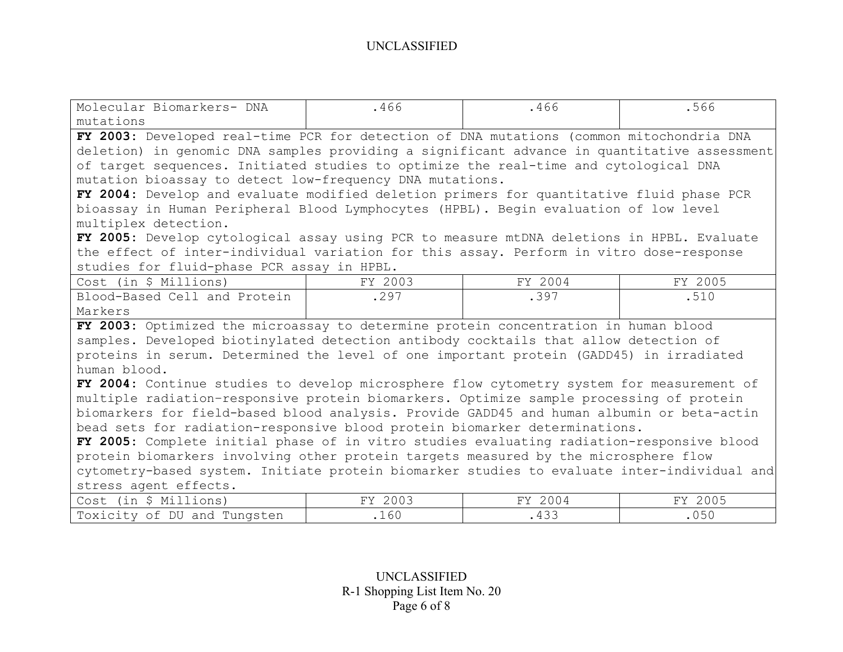| Molecular Biomarkers- DNA                                                                   | .466    | .466    | .566    |  |  |
|---------------------------------------------------------------------------------------------|---------|---------|---------|--|--|
| mutations                                                                                   |         |         |         |  |  |
| FY 2003: Developed real-time PCR for detection of DNA mutations (common mitochondria DNA    |         |         |         |  |  |
| deletion) in genomic DNA samples providing a significant advance in quantitative assessment |         |         |         |  |  |
| of target sequences. Initiated studies to optimize the real-time and cytological DNA        |         |         |         |  |  |
| mutation bioassay to detect low-frequency DNA mutations.                                    |         |         |         |  |  |
| FY 2004: Develop and evaluate modified deletion primers for quantitative fluid phase PCR    |         |         |         |  |  |
| bioassay in Human Peripheral Blood Lymphocytes (HPBL). Begin evaluation of low level        |         |         |         |  |  |
| multiplex detection.                                                                        |         |         |         |  |  |
| FY 2005: Develop cytological assay using PCR to measure mtDNA deletions in HPBL. Evaluate   |         |         |         |  |  |
| the effect of inter-individual variation for this assay. Perform in vitro dose-response     |         |         |         |  |  |
| studies for fluid-phase PCR assay in HPBL.                                                  |         |         |         |  |  |
| Cost (in \$ Millions)                                                                       | FY 2003 | FY 2004 | FY 2005 |  |  |
| Blood-Based Cell and Protein                                                                | .297    | .397    | .510    |  |  |
| Markers                                                                                     |         |         |         |  |  |
| FY 2003: Optimized the microassay to determine protein concentration in human blood         |         |         |         |  |  |
| samples. Developed biotinylated detection antibody cocktails that allow detection of        |         |         |         |  |  |
| proteins in serum. Determined the level of one important protein (GADD45) in irradiated     |         |         |         |  |  |
| human blood.                                                                                |         |         |         |  |  |
| FY 2004: Continue studies to develop microsphere flow cytometry system for measurement of   |         |         |         |  |  |
| multiple radiation-responsive protein biomarkers. Optimize sample processing of protein     |         |         |         |  |  |
| biomarkers for field-based blood analysis. Provide GADD45 and human albumin or beta-actin   |         |         |         |  |  |
| bead sets for radiation-responsive blood protein biomarker determinations.                  |         |         |         |  |  |
| FY 2005: Complete initial phase of in vitro studies evaluating radiation-responsive blood   |         |         |         |  |  |
| protein biomarkers involving other protein targets measured by the microsphere flow         |         |         |         |  |  |
| cytometry-based system. Initiate protein biomarker studies to evaluate inter-individual and |         |         |         |  |  |
| stress agent effects.                                                                       |         |         |         |  |  |
| Cost (in \$ Millions)                                                                       | FY 2003 | FY 2004 | FY 2005 |  |  |
| Toxicity of DU and Tungsten                                                                 | .160    | .433    | .050    |  |  |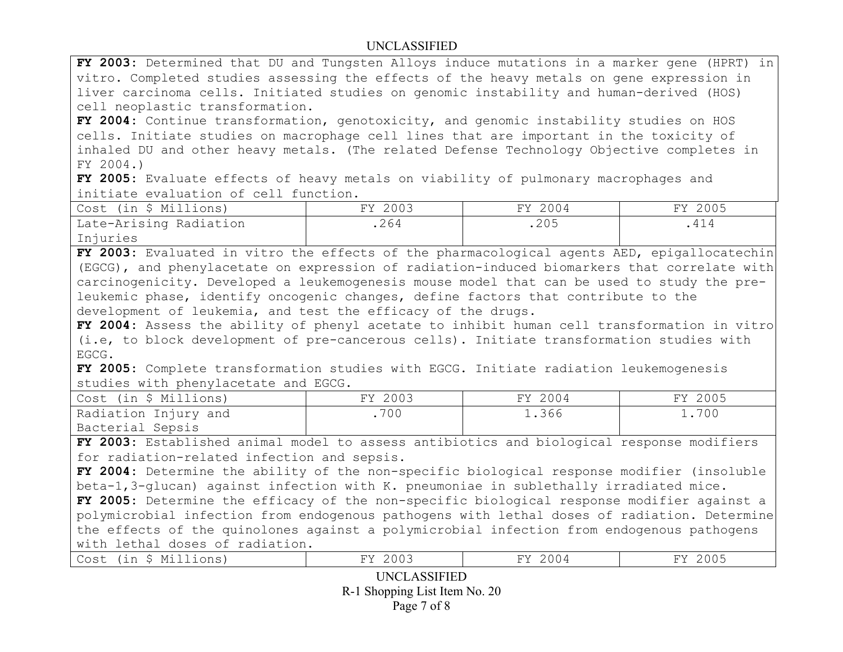**FY 2003:** Determined that DU and Tungsten Alloys induce mutations in a marker gene (HPRT) in vitro. Completed studies assessing the effects of the heavy metals on gene expression in liver carcinoma cells. Initiated studies on genomic instability and human-derived (HOS) cell neoplastic transformation.

**FY 2004:** Continue transformation, genotoxicity, and genomic instability studies on HOS cells. Initiate studies on macrophage cell lines that are important in the toxicity of inhaled DU and other heavy metals. (The related Defense Technology Objective completes in FY 2004.)

**FY 2005:** Evaluate effects of heavy metals on viability of pulmonary macrophages and initiate evaluation of cell function.

| Cost (in \$ Millions)  | FY 2003 | FY 2004 | FY 2005 |
|------------------------|---------|---------|---------|
| Late-Arising Radiation | .264    | .205    |         |
| Injuries               |         |         |         |

**FY 2003:** Evaluated in vitro the effects of the pharmacological agents AED, epigallocatechin (EGCG), and phenylacetate on expression of radiation-induced biomarkers that correlate with carcinogenicity. Developed a leukemogenesis mouse model that can be used to study the preleukemic phase, identify oncogenic changes, define factors that contribute to the development of leukemia, and test the efficacy of the drugs.

**FY 2004:** Assess the ability of phenyl acetate to inhibit human cell transformation in vitro (i.e, to block development of pre-cancerous cells). Initiate transformation studies with EGCG.

**FY 2005:** Complete transformation studies with EGCG. Initiate radiation leukemogenesis studies with phenylacetate and EGCG.

| Cost (in \$ Millions) | FY 2003 | FY 2004 | FY 2005 |
|-----------------------|---------|---------|---------|
| Radiation Injury and  | .700    | 1.366   | .700    |
| Bacterial Sepsis      |         |         |         |

**FY 2003:** Established animal model to assess antibiotics and biological response modifiers for radiation-related infection and sepsis.

**FY 2004:** Determine the ability of the non-specific biological response modifier (insoluble beta-1,3-glucan) against infection with K. pneumoniae in sublethally irradiated mice.

**FY 2005:** Determine the efficacy of the non-specific biological response modifier against a polymicrobial infection from endogenous pathogens with lethal doses of radiation. Determine the effects of the quinolones against a polymicrobial infection from endogenous pathogens with lethal doses of radiation.

| $\sim$<br><b>IVI</b><br>ບມວ<br>---<br>$\blacksquare$ | .<br>__ | コスス<br>UU .<br>__ | - - - - |
|------------------------------------------------------|---------|-------------------|---------|
|------------------------------------------------------|---------|-------------------|---------|